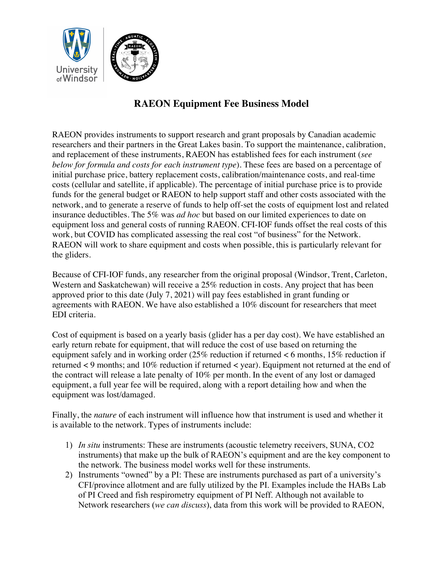

## **RAEON Equipment Fee Business Model**

RAEON provides instruments to support research and grant proposals by Canadian academic researchers and their partners in the Great Lakes basin. To support the maintenance, calibration, and replacement of these instruments, RAEON has established fees for each instrument (*see below for formula and costs for each instrument type*). These fees are based on a percentage of initial purchase price, battery replacement costs, calibration/maintenance costs, and real-time costs (cellular and satellite, if applicable). The percentage of initial purchase price is to provide funds for the general budget or RAEON to help support staff and other costs associated with the network, and to generate a reserve of funds to help off-set the costs of equipment lost and related insurance deductibles. The 5% was *ad hoc* but based on our limited experiences to date on equipment loss and general costs of running RAEON. CFI-IOF funds offset the real costs of this work, but COVID has complicated assessing the real cost "of business" for the Network. RAEON will work to share equipment and costs when possible, this is particularly relevant for the gliders.

Because of CFI-IOF funds, any researcher from the original proposal (Windsor, Trent, Carleton, Western and Saskatchewan) will receive a 25% reduction in costs. Any project that has been approved prior to this date (July 7, 2021) will pay fees established in grant funding or agreements with RAEON. We have also established a 10% discount for researchers that meet EDI criteria.

Cost of equipment is based on a yearly basis (glider has a per day cost). We have established an early return rebate for equipment, that will reduce the cost of use based on returning the equipment safely and in working order (25% reduction if returned < 6 months, 15% reduction if returned < 9 months; and 10% reduction if returned < year). Equipment not returned at the end of the contract will release a late penalty of 10% per month. In the event of any lost or damaged equipment, a full year fee will be required, along with a report detailing how and when the equipment was lost/damaged.

Finally, the *nature* of each instrument will influence how that instrument is used and whether it is available to the network. Types of instruments include:

- 1) *In situ* instruments: These are instruments (acoustic telemetry receivers, SUNA, CO2 instruments) that make up the bulk of RAEON's equipment and are the key component to the network. The business model works well for these instruments.
- 2) Instruments "owned" by a PI: These are instruments purchased as part of a university's CFI/province allotment and are fully utilized by the PI. Examples include the HABs Lab of PI Creed and fish respirometry equipment of PI Neff. Although not available to Network researchers (*we can discuss*), data from this work will be provided to RAEON,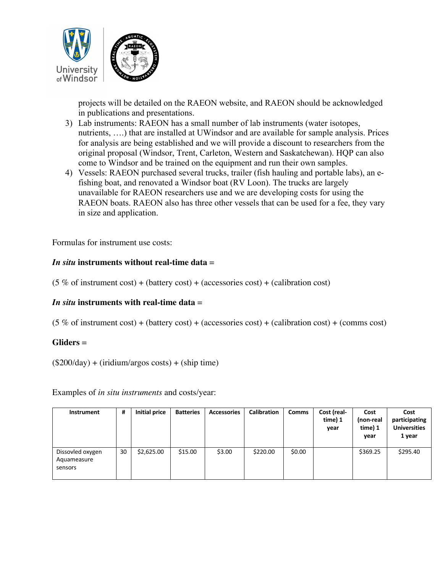

projects will be detailed on the RAEON website, and RAEON should be acknowledged in publications and presentations.

- 3) Lab instruments: RAEON has a small number of lab instruments (water isotopes, nutrients, ….) that are installed at UWindsor and are available for sample analysis. Prices for analysis are being established and we will provide a discount to researchers from the original proposal (Windsor, Trent, Carleton, Western and Saskatchewan). HQP can also come to Windsor and be trained on the equipment and run their own samples.
- 4) Vessels: RAEON purchased several trucks, trailer (fish hauling and portable labs), an efishing boat, and renovated a Windsor boat (RV Loon). The trucks are largely unavailable for RAEON researchers use and we are developing costs for using the RAEON boats. RAEON also has three other vessels that can be used for a fee, they vary in size and application.

Formulas for instrument use costs:

## *In situ* **instruments without real-time data** =

 $(5\% \text{ of instrument cost}) + (battery cost) + (accessories cost) + (calibration cost)$ 

## *In situ* **instruments with real-time data** =

 $(5\% \text{ of instrument cost}) + (battery cost) + (accessories cost) + (calibration cost) + (comms cost)$ 

## **Gliders** =

 $($200/day) + (iridium/args costs) + (ship time)$ 

Examples of *in situ instruments* and costs/year:

| <b>Instrument</b>                          | #  | Initial price | <b>Batteries</b> | <b>Accessories</b> | <b>Calibration</b> | <b>Comms</b> | Cost (real-<br>time) 1<br>year | Cost<br>(non-real<br>time) 1<br>year | Cost<br>participating<br><b>Universities</b><br>1 year |
|--------------------------------------------|----|---------------|------------------|--------------------|--------------------|--------------|--------------------------------|--------------------------------------|--------------------------------------------------------|
| Dissovled oxygen<br>Aquameasure<br>sensors | 30 | \$2,625.00    | \$15.00          | \$3.00             | \$220.00           | \$0.00       |                                | \$369.25                             | \$295.40                                               |